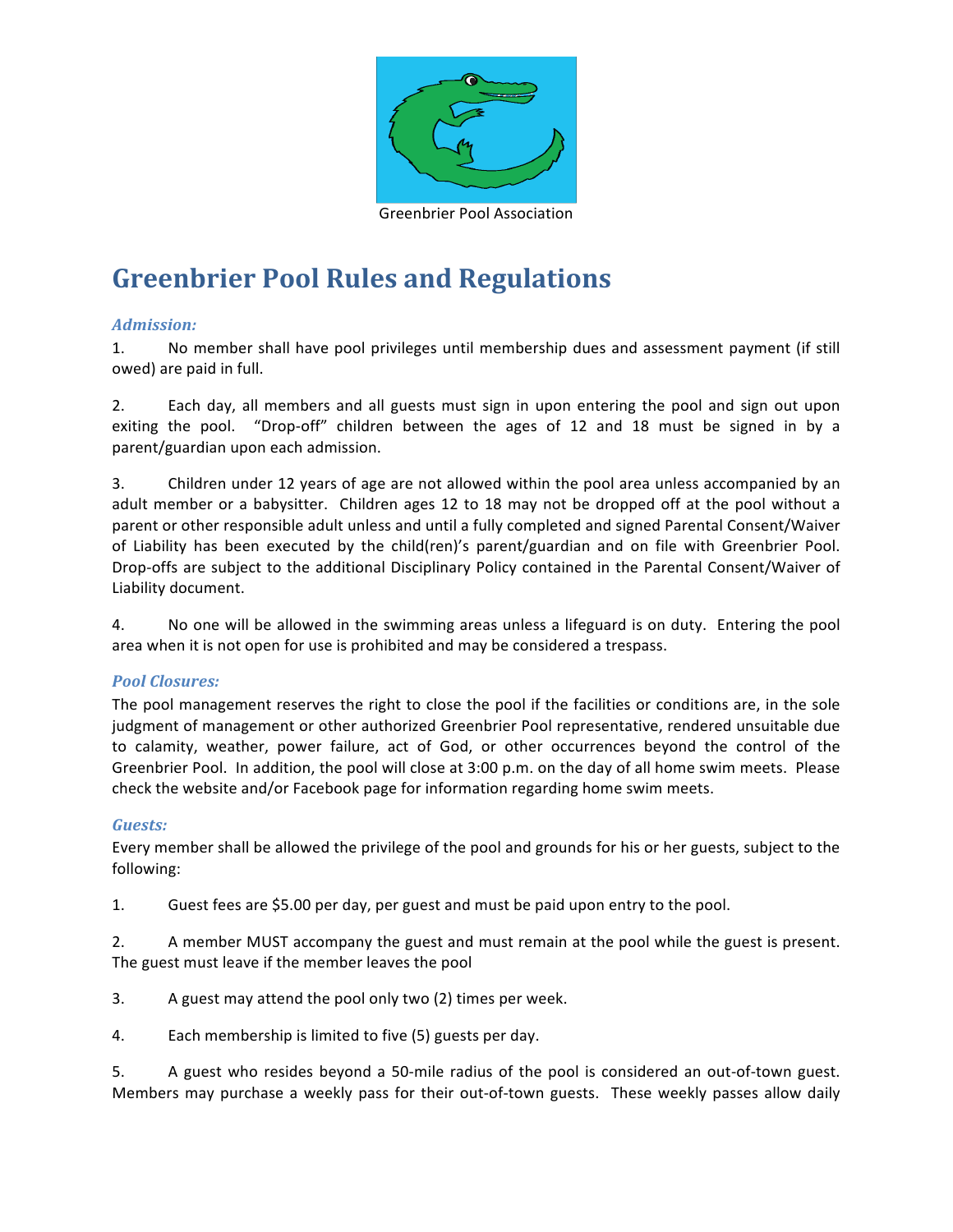

# **Greenbrier Pool Rules and Regulations**

## *Admission:*

1. No member shall have pool privileges until membership dues and assessment payment (if still owed) are paid in full.

2. Each day, all members and all guests must sign in upon entering the pool and sign out upon exiting the pool. "Drop-off" children between the ages of 12 and 18 must be signed in by a parent/guardian upon each admission.

3. Children under 12 years of age are not allowed within the pool area unless accompanied by an adult member or a babysitter. Children ages 12 to 18 may not be dropped off at the pool without a parent or other responsible adult unless and until a fully completed and signed Parental Consent/Waiver of Liability has been executed by the child(ren)'s parent/guardian and on file with Greenbrier Pool. Drop-offs are subject to the additional Disciplinary Policy contained in the Parental Consent/Waiver of Liability document.

4. No one will be allowed in the swimming areas unless a lifeguard is on duty. Entering the pool area when it is not open for use is prohibited and may be considered a trespass.

## *Pool Closures:*

The pool management reserves the right to close the pool if the facilities or conditions are, in the sole judgment of management or other authorized Greenbrier Pool representative, rendered unsuitable due to calamity, weather, power failure, act of God, or other occurrences beyond the control of the Greenbrier Pool. In addition, the pool will close at 3:00 p.m. on the day of all home swim meets. Please check the website and/or Facebook page for information regarding home swim meets.

## *Guests:*

Every member shall be allowed the privilege of the pool and grounds for his or her guests, subject to the following:

1. Guest fees are \$5.00 per day, per guest and must be paid upon entry to the pool.

2. A member MUST accompany the guest and must remain at the pool while the guest is present. The guest must leave if the member leaves the pool

- 3. A guest may attend the pool only two (2) times per week.
- 4. Each membership is limited to five (5) guests per day.

5. A guest who resides beyond a 50-mile radius of the pool is considered an out-of-town guest. Members may purchase a weekly pass for their out-of-town guests. These weekly passes allow daily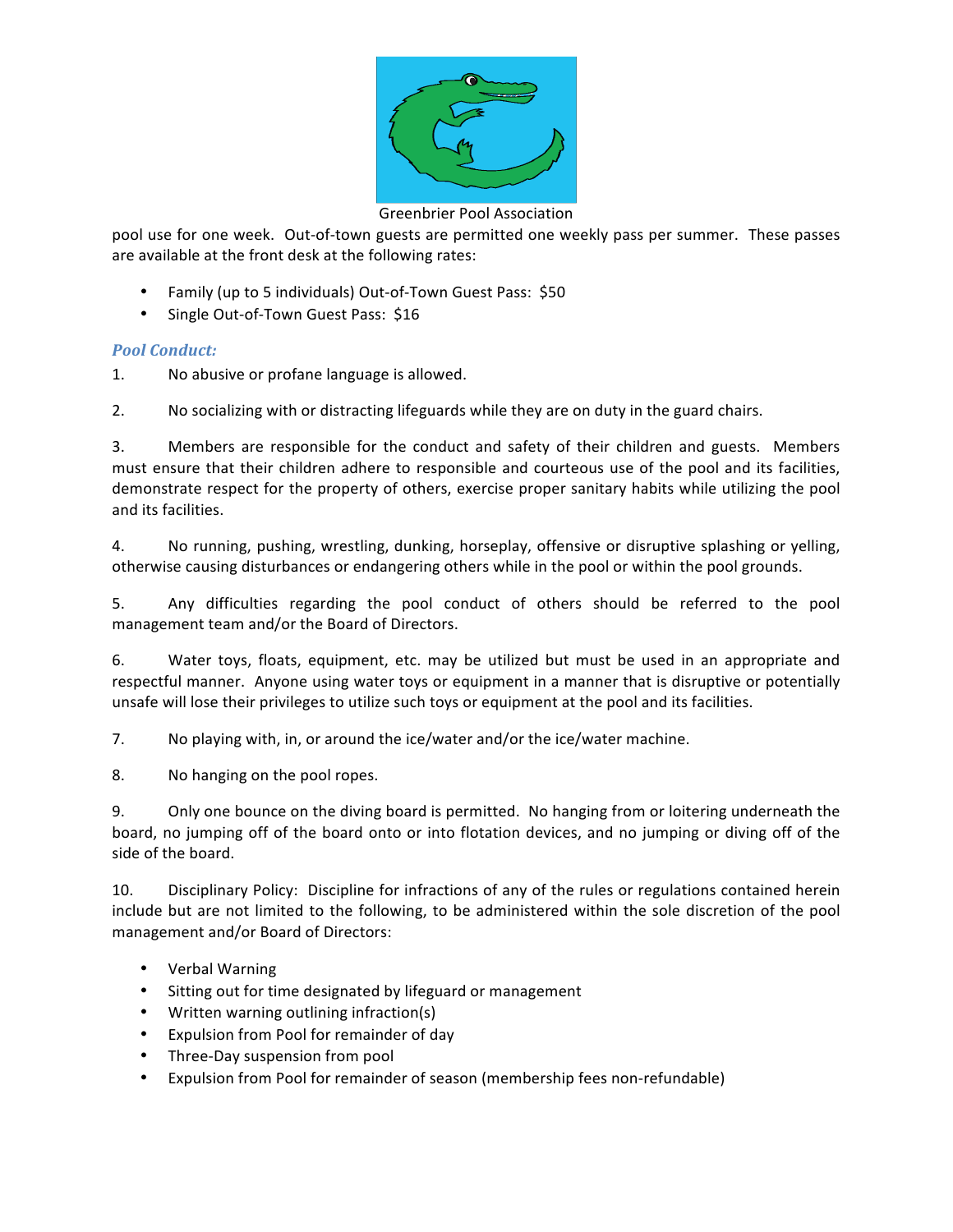

### Greenbrier Pool Association

pool use for one week. Out-of-town guests are permitted one weekly pass per summer. These passes are available at the front desk at the following rates:

- Family (up to 5 individuals) Out-of-Town Guest Pass: \$50
- Single Out-of-Town Guest Pass: \$16

## *Pool Conduct:*

1. No abusive or profane language is allowed.

2. No socializing with or distracting lifeguards while they are on duty in the guard chairs.

3. Members are responsible for the conduct and safety of their children and guests. Members must ensure that their children adhere to responsible and courteous use of the pool and its facilities, demonstrate respect for the property of others, exercise proper sanitary habits while utilizing the pool and its facilities.

4. No running, pushing, wrestling, dunking, horseplay, offensive or disruptive splashing or yelling, otherwise causing disturbances or endangering others while in the pool or within the pool grounds.

5. Any difficulties regarding the pool conduct of others should be referred to the pool management team and/or the Board of Directors.

6. Water toys, floats, equipment, etc. may be utilized but must be used in an appropriate and respectful manner. Anyone using water toys or equipment in a manner that is disruptive or potentially unsafe will lose their privileges to utilize such toys or equipment at the pool and its facilities.

7. No playing with, in, or around the ice/water and/or the ice/water machine.

8. No hanging on the pool ropes.

9. Only one bounce on the diving board is permitted. No hanging from or loitering underneath the board, no jumping off of the board onto or into flotation devices, and no jumping or diving off of the side of the board.

10. Disciplinary Policy: Discipline for infractions of any of the rules or regulations contained herein include but are not limited to the following, to be administered within the sole discretion of the pool management and/or Board of Directors:

- Verbal Warning
- Sitting out for time designated by lifeguard or management
- Written warning outlining infraction(s)
- Expulsion from Pool for remainder of day
- Three-Day suspension from pool
- Expulsion from Pool for remainder of season (membership fees non-refundable)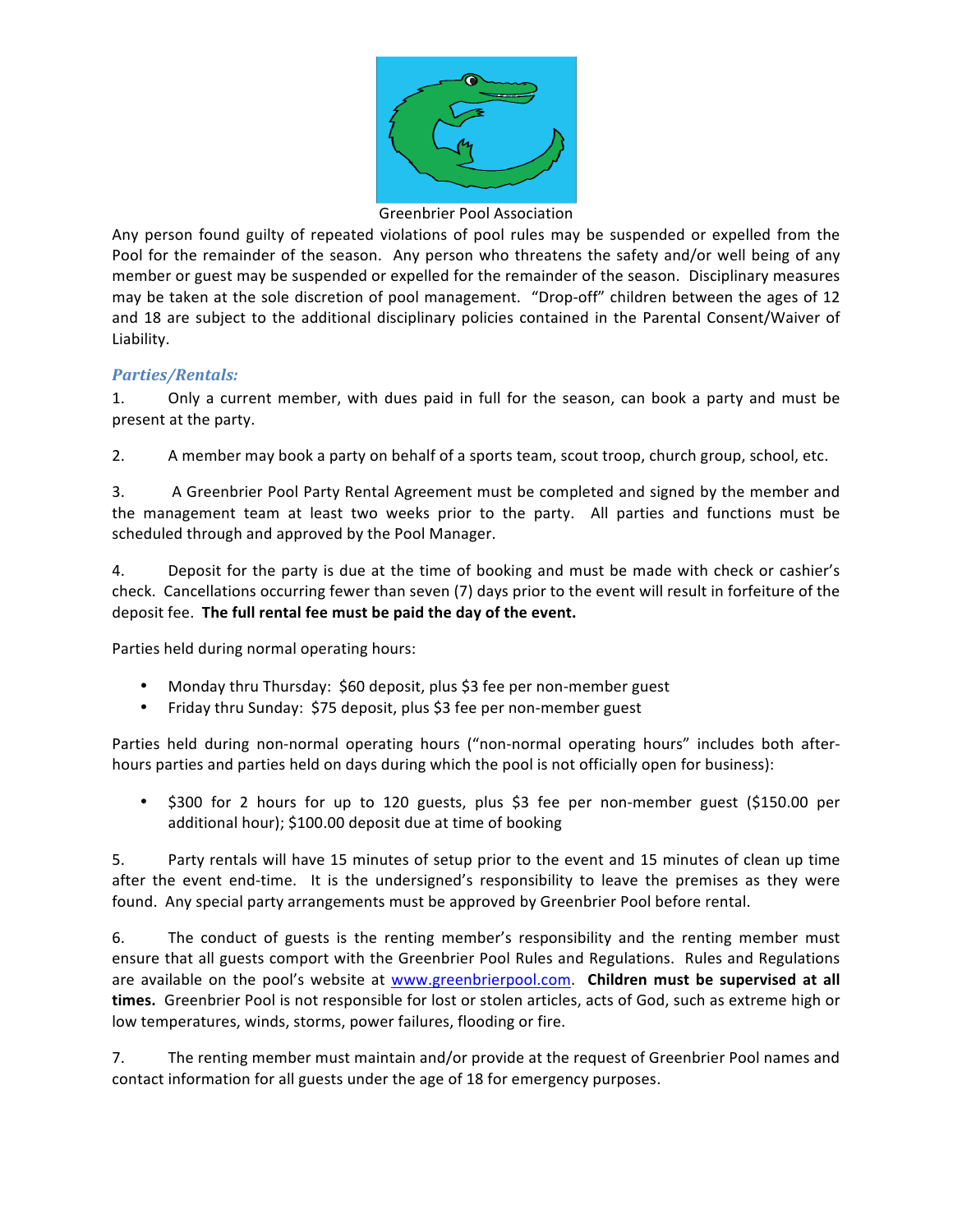

### Greenbrier Pool Association

Any person found guilty of repeated violations of pool rules may be suspended or expelled from the Pool for the remainder of the season. Any person who threatens the safety and/or well being of any member or guest may be suspended or expelled for the remainder of the season. Disciplinary measures may be taken at the sole discretion of pool management. "Drop-off" children between the ages of 12 and 18 are subject to the additional disciplinary policies contained in the Parental Consent/Waiver of Liability.

### *Parties/Rentals:*

1. Only a current member, with dues paid in full for the season, can book a party and must be present at the party.

2. A member may book a party on behalf of a sports team, scout troop, church group, school, etc.

3. A Greenbrier Pool Party Rental Agreement must be completed and signed by the member and the management team at least two weeks prior to the party. All parties and functions must be scheduled through and approved by the Pool Manager.

4. Deposit for the party is due at the time of booking and must be made with check or cashier's check. Cancellations occurring fewer than seven (7) days prior to the event will result in forfeiture of the deposit fee. The full rental fee must be paid the day of the event.

Parties held during normal operating hours:

- Monday thru Thursday: \$60 deposit, plus \$3 fee per non-member guest
- Friday thru Sunday: \$75 deposit, plus \$3 fee per non-member guest

Parties held during non-normal operating hours ("non-normal operating hours" includes both afterhours parties and parties held on days during which the pool is not officially open for business):

\$300 for 2 hours for up to 120 guests, plus \$3 fee per non-member guest (\$150.00 per additional hour); \$100.00 deposit due at time of booking

5. Party rentals will have 15 minutes of setup prior to the event and 15 minutes of clean up time after the event end-time. It is the undersigned's responsibility to leave the premises as they were found. Any special party arrangements must be approved by Greenbrier Pool before rental.

6. The conduct of guests is the renting member's responsibility and the renting member must ensure that all guests comport with the Greenbrier Pool Rules and Regulations. Rules and Regulations are available on the pool's website at www.greenbrierpool.com. Children must be supervised at all times. Greenbrier Pool is not responsible for lost or stolen articles, acts of God, such as extreme high or low temperatures, winds, storms, power failures, flooding or fire.

7. The renting member must maintain and/or provide at the request of Greenbrier Pool names and contact information for all guests under the age of 18 for emergency purposes.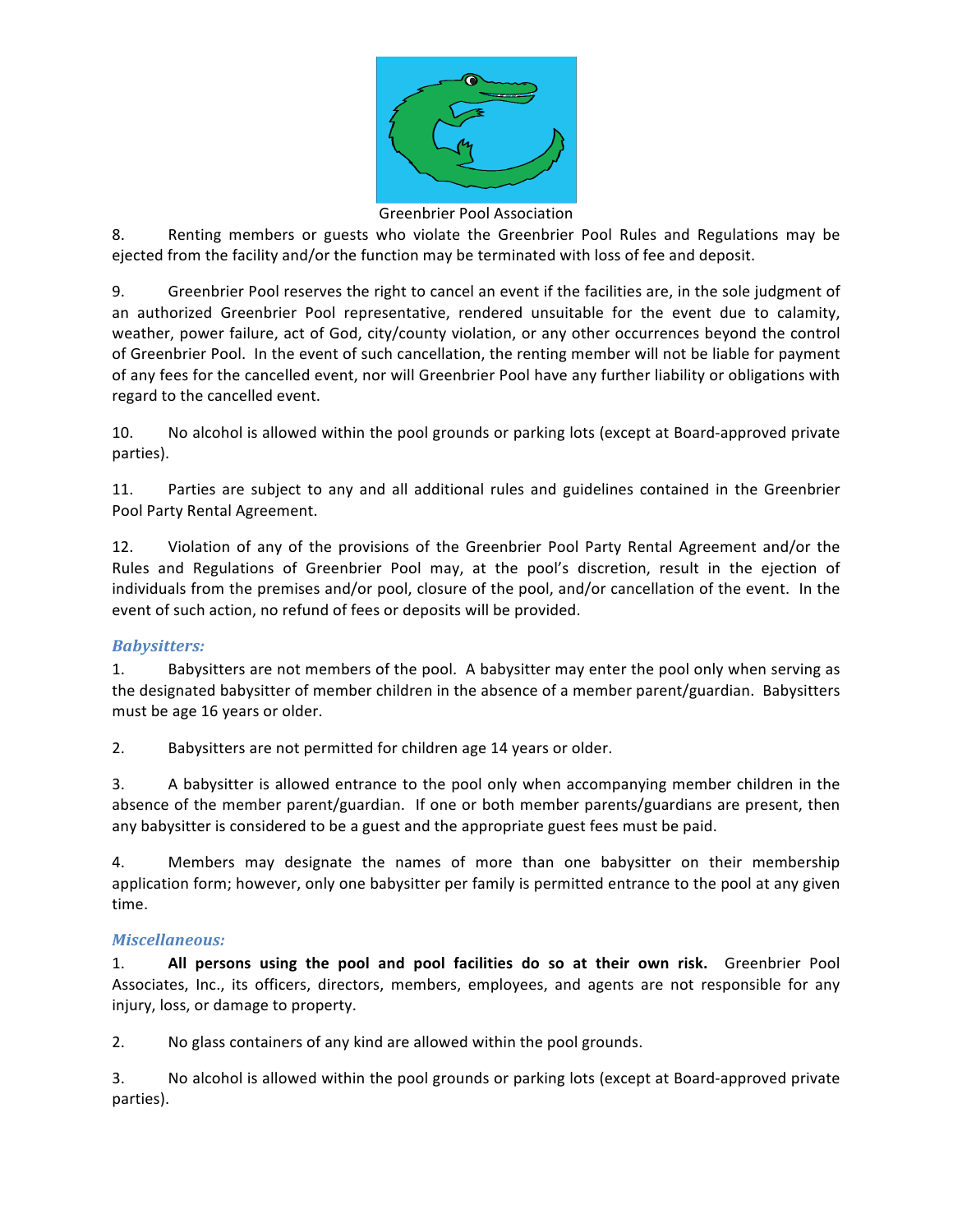

#### Greenbrier Pool Association

8. Renting members or guests who violate the Greenbrier Pool Rules and Regulations may be ejected from the facility and/or the function may be terminated with loss of fee and deposit.

9. Greenbrier Pool reserves the right to cancel an event if the facilities are, in the sole judgment of an authorized Greenbrier Pool representative, rendered unsuitable for the event due to calamity, weather, power failure, act of God, city/county violation, or any other occurrences beyond the control of Greenbrier Pool. In the event of such cancellation, the renting member will not be liable for payment of any fees for the cancelled event, nor will Greenbrier Pool have any further liability or obligations with regard to the cancelled event.

10. No alcohol is allowed within the pool grounds or parking lots (except at Board-approved private parties).

11. Parties are subject to any and all additional rules and guidelines contained in the Greenbrier Pool Party Rental Agreement.

12. Violation of any of the provisions of the Greenbrier Pool Party Rental Agreement and/or the Rules and Regulations of Greenbrier Pool may, at the pool's discretion, result in the ejection of individuals from the premises and/or pool, closure of the pool, and/or cancellation of the event. In the event of such action, no refund of fees or deposits will be provided.

## *Babysitters:*

1. Babysitters are not members of the pool. A babysitter may enter the pool only when serving as the designated babysitter of member children in the absence of a member parent/guardian. Babysitters must be age 16 years or older.

2. Babysitters are not permitted for children age 14 years or older.

3. A babysitter is allowed entrance to the pool only when accompanying member children in the absence of the member parent/guardian. If one or both member parents/guardians are present, then any babysitter is considered to be a guest and the appropriate guest fees must be paid.

4. Members may designate the names of more than one babysitter on their membership application form; however, only one babysitter per family is permitted entrance to the pool at any given time.

## *Miscellaneous:*

1. **All persons using the pool and pool facilities do so at their own risk.** Greenbrier Pool Associates, Inc., its officers, directors, members, employees, and agents are not responsible for any injury, loss, or damage to property.

2. No glass containers of any kind are allowed within the pool grounds.

3. No alcohol is allowed within the pool grounds or parking lots (except at Board-approved private parties).